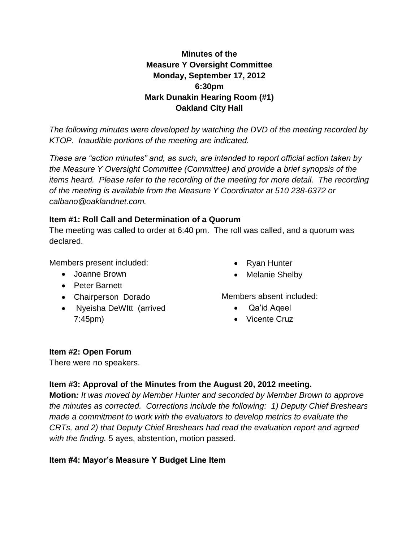## **Minutes of the Measure Y Oversight Committee Monday, September 17, 2012 6:30pm Mark Dunakin Hearing Room (#1) Oakland City Hall**

*The following minutes were developed by watching the DVD of the meeting recorded by KTOP. Inaudible portions of the meeting are indicated.* 

*These are "action minutes" and, as such, are intended to report official action taken by the Measure Y Oversight Committee (Committee) and provide a brief synopsis of the items heard. Please refer to the recording of the meeting for more detail. The recording of the meeting is available from the Measure Y Coordinator at 510 238-6372 or calbano@oaklandnet.com.*

#### **Item #1: Roll Call and Determination of a Quorum**

The meeting was called to order at 6:40 pm. The roll was called, and a quorum was declared.

Members present included:

- Joanne Brown
- Peter Barnett
- Chairperson Dorado
- Nyeisha DeWItt (arrived 7:45pm)
- Ryan Hunter
- Melanie Shelby

Members absent included:

- Qa'id Aqeel
- Vicente Cruz

#### **Item #2: Open Forum**

There were no speakers.

## **Item #3: Approval of the Minutes from the August 20, 2012 meeting.**

**Motion***: It was moved by Member Hunter and seconded by Member Brown to approve the minutes as corrected. Corrections include the following: 1) Deputy Chief Breshears made a commitment to work with the evaluators to develop metrics to evaluate the CRTs, and 2) that Deputy Chief Breshears had read the evaluation report and agreed with the finding.* 5 ayes, abstention, motion passed.

#### **Item #4: Mayor's Measure Y Budget Line Item**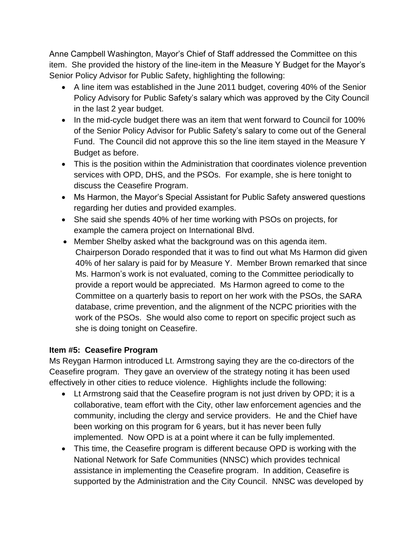Anne Campbell Washington, Mayor's Chief of Staff addressed the Committee on this item. She provided the history of the line-item in the Measure Y Budget for the Mayor's Senior Policy Advisor for Public Safety, highlighting the following:

- A line item was established in the June 2011 budget, covering 40% of the Senior Policy Advisory for Public Safety's salary which was approved by the City Council in the last 2 year budget.
- In the mid-cycle budget there was an item that went forward to Council for 100% of the Senior Policy Advisor for Public Safety's salary to come out of the General Fund. The Council did not approve this so the line item stayed in the Measure Y Budget as before.
- This is the position within the Administration that coordinates violence prevention services with OPD, DHS, and the PSOs. For example, she is here tonight to discuss the Ceasefire Program.
- Ms Harmon, the Mayor's Special Assistant for Public Safety answered questions regarding her duties and provided examples.
- She said she spends 40% of her time working with PSOs on projects, for example the camera project on International Blvd.
- Member Shelby asked what the background was on this agenda item. Chairperson Dorado responded that it was to find out what Ms Harmon did given 40% of her salary is paid for by Measure Y. Member Brown remarked that since Ms. Harmon's work is not evaluated, coming to the Committee periodically to provide a report would be appreciated. Ms Harmon agreed to come to the Committee on a quarterly basis to report on her work with the PSOs, the SARA database, crime prevention, and the alignment of the NCPC priorities with the work of the PSOs. She would also come to report on specific project such as she is doing tonight on Ceasefire.

#### **Item #5: Ceasefire Program**

Ms Reygan Harmon introduced Lt. Armstrong saying they are the co-directors of the Ceasefire program. They gave an overview of the strategy noting it has been used effectively in other cities to reduce violence. Highlights include the following:

- Lt Armstrong said that the Ceasefire program is not just driven by OPD; it is a collaborative, team effort with the City, other law enforcement agencies and the community, including the clergy and service providers. He and the Chief have been working on this program for 6 years, but it has never been fully implemented. Now OPD is at a point where it can be fully implemented.
- This time, the Ceasefire program is different because OPD is working with the National Network for Safe Communities (NNSC) which provides technical assistance in implementing the Ceasefire program. In addition, Ceasefire is supported by the Administration and the City Council. NNSC was developed by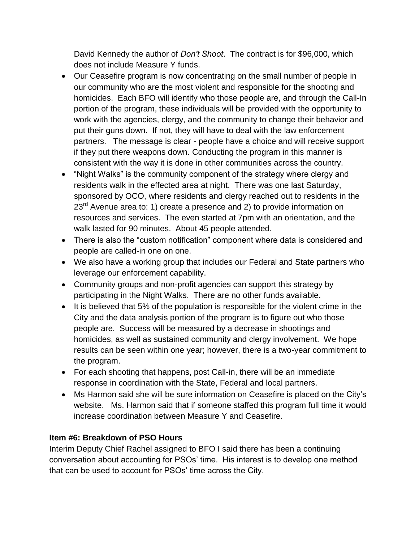David Kennedy the author of *Don't Shoot*. The contract is for \$96,000, which does not include Measure Y funds.

- Our Ceasefire program is now concentrating on the small number of people in our community who are the most violent and responsible for the shooting and homicides. Each BFO will identify who those people are, and through the Call-In portion of the program, these individuals will be provided with the opportunity to work with the agencies, clergy, and the community to change their behavior and put their guns down. If not, they will have to deal with the law enforcement partners. The message is clear - people have a choice and will receive support if they put there weapons down. Conducting the program in this manner is consistent with the way it is done in other communities across the country.
- "Night Walks" is the community component of the strategy where clergy and residents walk in the effected area at night. There was one last Saturday, sponsored by OCO, where residents and clergy reached out to residents in the  $23<sup>rd</sup>$  Avenue area to: 1) create a presence and 2) to provide information on resources and services. The even started at 7pm with an orientation, and the walk lasted for 90 minutes. About 45 people attended.
- There is also the "custom notification" component where data is considered and people are called-in one on one.
- We also have a working group that includes our Federal and State partners who leverage our enforcement capability.
- Community groups and non-profit agencies can support this strategy by participating in the Night Walks. There are no other funds available.
- It is believed that 5% of the population is responsible for the violent crime in the City and the data analysis portion of the program is to figure out who those people are. Success will be measured by a decrease in shootings and homicides, as well as sustained community and clergy involvement. We hope results can be seen within one year; however, there is a two-year commitment to the program.
- For each shooting that happens, post Call-in, there will be an immediate response in coordination with the State, Federal and local partners.
- Ms Harmon said she will be sure information on Ceasefire is placed on the City's website. Ms. Harmon said that if someone staffed this program full time it would increase coordination between Measure Y and Ceasefire.

## **Item #6: Breakdown of PSO Hours**

Interim Deputy Chief Rachel assigned to BFO I said there has been a continuing conversation about accounting for PSOs' time. His interest is to develop one method that can be used to account for PSOs' time across the City.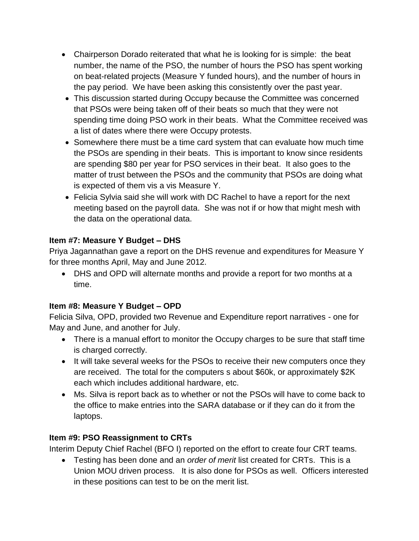- Chairperson Dorado reiterated that what he is looking for is simple: the beat number, the name of the PSO, the number of hours the PSO has spent working on beat-related projects (Measure Y funded hours), and the number of hours in the pay period. We have been asking this consistently over the past year.
- This discussion started during Occupy because the Committee was concerned that PSOs were being taken off of their beats so much that they were not spending time doing PSO work in their beats. What the Committee received was a list of dates where there were Occupy protests.
- Somewhere there must be a time card system that can evaluate how much time the PSOs are spending in their beats. This is important to know since residents are spending \$80 per year for PSO services in their beat. It also goes to the matter of trust between the PSOs and the community that PSOs are doing what is expected of them vis a vis Measure Y.
- Felicia Sylvia said she will work with DC Rachel to have a report for the next meeting based on the payroll data. She was not if or how that might mesh with the data on the operational data.

## **Item #7: Measure Y Budget – DHS**

Priya Jagannathan gave a report on the DHS revenue and expenditures for Measure Y for three months April, May and June 2012.

 DHS and OPD will alternate months and provide a report for two months at a time.

# **Item #8: Measure Y Budget – OPD**

Felicia Silva, OPD, provided two Revenue and Expenditure report narratives - one for May and June, and another for July.

- There is a manual effort to monitor the Occupy charges to be sure that staff time is charged correctly.
- It will take several weeks for the PSOs to receive their new computers once they are received. The total for the computers s about \$60k, or approximately \$2K each which includes additional hardware, etc.
- Ms. Silva is report back as to whether or not the PSOs will have to come back to the office to make entries into the SARA database or if they can do it from the laptops.

# **Item #9: PSO Reassignment to CRTs**

Interim Deputy Chief Rachel (BFO I) reported on the effort to create four CRT teams.

 Testing has been done and an *order of merit* list created for CRTs. This is a Union MOU driven process. It is also done for PSOs as well. Officers interested in these positions can test to be on the merit list.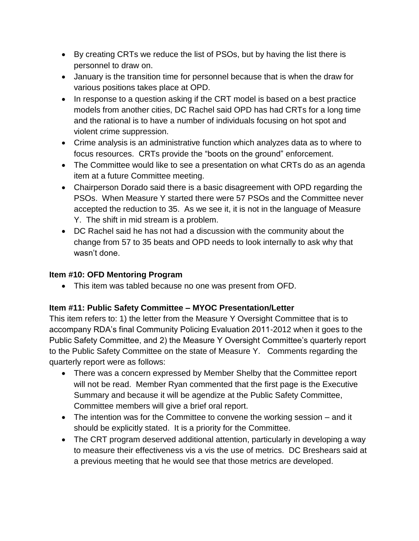- By creating CRTs we reduce the list of PSOs, but by having the list there is personnel to draw on.
- January is the transition time for personnel because that is when the draw for various positions takes place at OPD.
- In response to a question asking if the CRT model is based on a best practice models from another cities, DC Rachel said OPD has had CRTs for a long time and the rational is to have a number of individuals focusing on hot spot and violent crime suppression.
- Crime analysis is an administrative function which analyzes data as to where to focus resources. CRTs provide the "boots on the ground" enforcement.
- The Committee would like to see a presentation on what CRTs do as an agenda item at a future Committee meeting.
- Chairperson Dorado said there is a basic disagreement with OPD regarding the PSOs. When Measure Y started there were 57 PSOs and the Committee never accepted the reduction to 35. As we see it, it is not in the language of Measure Y. The shift in mid stream is a problem.
- DC Rachel said he has not had a discussion with the community about the change from 57 to 35 beats and OPD needs to look internally to ask why that wasn't done.

## **Item #10: OFD Mentoring Program**

This item was tabled because no one was present from OFD.

## **Item #11: Public Safety Committee – MYOC Presentation/Letter**

This item refers to: 1) the letter from the Measure Y Oversight Committee that is to accompany RDA's final Community Policing Evaluation 2011-2012 when it goes to the Public Safety Committee, and 2) the Measure Y Oversight Committee's quarterly report to the Public Safety Committee on the state of Measure Y. Comments regarding the quarterly report were as follows:

- There was a concern expressed by Member Shelby that the Committee report will not be read. Member Ryan commented that the first page is the Executive Summary and because it will be agendize at the Public Safety Committee, Committee members will give a brief oral report.
- The intention was for the Committee to convene the working session and it should be explicitly stated. It is a priority for the Committee.
- The CRT program deserved additional attention, particularly in developing a way to measure their effectiveness vis a vis the use of metrics. DC Breshears said at a previous meeting that he would see that those metrics are developed.